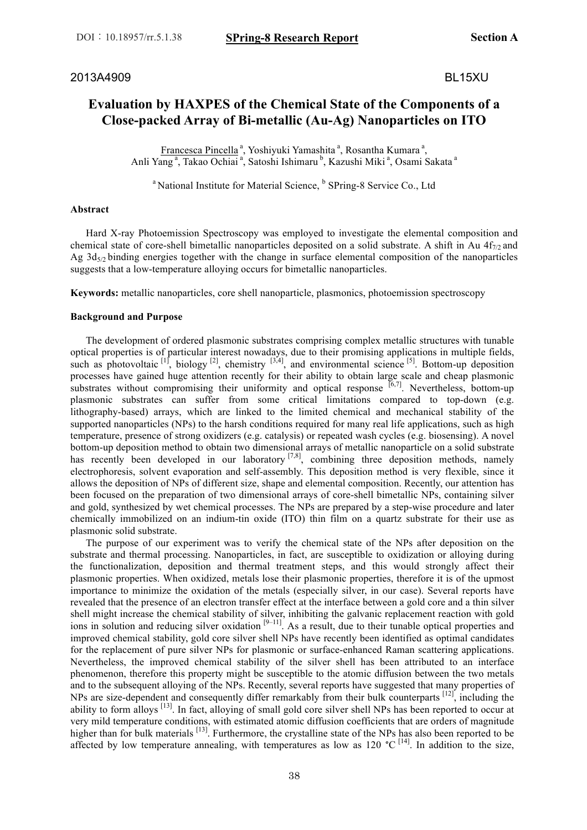2013A4909 BL15XU

# **Evaluation by HAXPES of the Chemical State of the Components of a Close-packed Array of Bi-metallic (Au-Ag) Nanoparticles on ITO**

Francesca Pincella<sup>a</sup>, Yoshiyuki Yamashita<sup>a</sup>, Rosantha Kumara<sup>a</sup>, Anli Yang<sup>a</sup>, Takao Ochiai<sup>a</sup>, Satoshi Ishimaru<sup>b</sup>, Kazushi Miki<sup>a</sup>, Osami Sakata<sup>a</sup>

<sup>a</sup> National Institute for Material Science, <sup>b</sup> SPring-8 Service Co., Ltd

### **Abstract**

 Hard X-ray Photoemission Spectroscopy was employed to investigate the elemental composition and chemical state of core-shell bimetallic nanoparticles deposited on a solid substrate. A shift in Au  $4f_{7/2}$  and Ag  $3d_{5/2}$  binding energies together with the change in surface elemental composition of the nanoparticles suggests that a low-temperature alloying occurs for bimetallic nanoparticles.

**Keywords:** metallic nanoparticles, core shell nanoparticle, plasmonics, photoemission spectroscopy

### **Background and Purpose**

 The development of ordered plasmonic substrates comprising complex metallic structures with tunable optical properties is of particular interest nowadays, due to their promising applications in multiple fields, such as photovoltaic  $\begin{bmatrix} 1 \end{bmatrix}$ , biology  $\begin{bmatrix} 2 \end{bmatrix}$ , chemistry  $\begin{bmatrix} 3,4 \end{bmatrix}$ , and environmental science  $\begin{bmatrix} 5 \end{bmatrix}$ . Bottom-up deposition processes have gained huge attention recently for their ability to obtain large scale and cheap plasmonic substrates without compromising their uniformity and optical response  $[6,7]$ . Nevertheless, bottom-up plasmonic substrates can suffer from some critical limitations compared to top-down (e.g. lithography-based) arrays, which are linked to the limited chemical and mechanical stability of the supported nanoparticles (NPs) to the harsh conditions required for many real life applications, such as high temperature, presence of strong oxidizers (e.g. catalysis) or repeated wash cycles (e.g. biosensing). A novel bottom-up deposition method to obtain two dimensional arrays of metallic nanoparticle on a solid substrate has recently been developed in our laboratory<sup>[7,8]</sup>, combining three deposition methods, namely electrophoresis, solvent evaporation and self-assembly. This deposition method is very flexible, since it allows the deposition of NPs of different size, shape and elemental composition. Recently, our attention has been focused on the preparation of two dimensional arrays of core-shell bimetallic NPs, containing silver and gold, synthesized by wet chemical processes. The NPs are prepared by a step-wise procedure and later chemically immobilized on an indium-tin oxide (ITO) thin film on a quartz substrate for their use as plasmonic solid substrate.

 The purpose of our experiment was to verify the chemical state of the NPs after deposition on the substrate and thermal processing. Nanoparticles, in fact, are susceptible to oxidization or alloying during the functionalization, deposition and thermal treatment steps, and this would strongly affect their plasmonic properties. When oxidized, metals lose their plasmonic properties, therefore it is of the upmost importance to minimize the oxidation of the metals (especially silver, in our case). Several reports have revealed that the presence of an electron transfer effect at the interface between a gold core and a thin silver shell might increase the chemical stability of silver, inhibiting the galvanic replacement reaction with gold ions in solution and reducing silver oxidation  $[9-11]$ . As a result, due to their tunable optical properties and improved chemical stability, gold core silver shell NPs have recently been identified as optimal candidates for the replacement of pure silver NPs for plasmonic or surface-enhanced Raman scattering applications. Nevertheless, the improved chemical stability of the silver shell has been attributed to an interface phenomenon, therefore this property might be susceptible to the atomic diffusion between the two metals and to the subsequent alloying of the NPs. Recently, several reports have suggested that many properties of NPs are size-dependent and consequently differ remarkably from their bulk counterparts [12], including the ability to form alloys <sup>[13]</sup>. In fact, alloying of small gold core silver shell NPs has been reported to occur at very mild temperature conditions, with estimated atomic diffusion coefficients that are orders of magnitude higher than for bulk materials <sup>[13]</sup>. Furthermore, the crystalline state of the NPs has also been reported to be affected by low temperature annealing, with temperatures as low as 120  $^{\circ}$ C<sup>[14]</sup>. In addition to the size,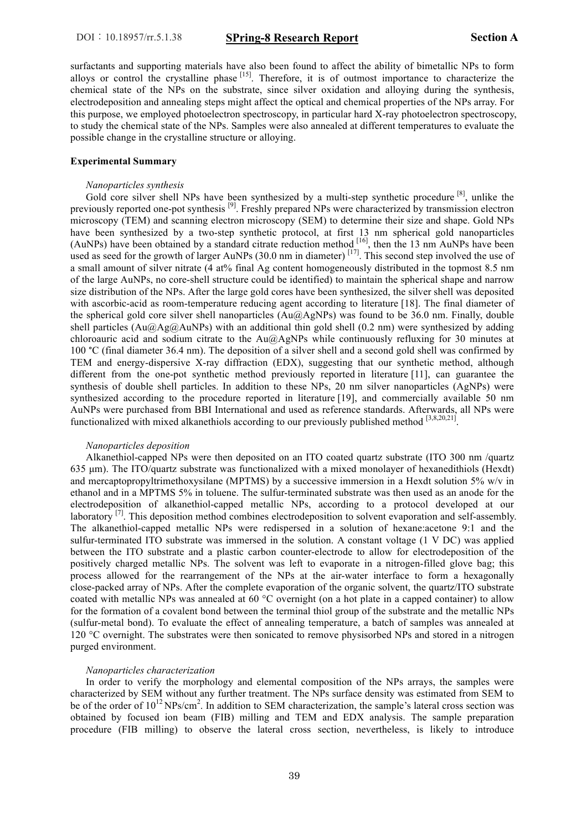surfactants and supporting materials have also been found to affect the ability of bimetallic NPs to form alloys or control the crystalline phase <sup>[15]</sup>. Therefore, it is of outmost importance to characterize the chemical state of the NPs on the substrate, since silver oxidation and alloying during the synthesis, electrodeposition and annealing steps might affect the optical and chemical properties of the NPs array. For this purpose, we employed photoelectron spectroscopy, in particular hard X-ray photoelectron spectroscopy, to study the chemical state of the NPs. Samples were also annealed at different temperatures to evaluate the possible change in the crystalline structure or alloying.

#### **Experimental Summary**

#### *Nanoparticles synthesis*

Gold core silver shell NPs have been synthesized by a multi-step synthetic procedure <sup>[8]</sup>, unlike the previously reported one-pot synthesis<sup>[9]</sup>. Freshly prepared NPs were characterized by transmission electron microscopy (TEM) and scanning electron microscopy (SEM) to determine their size and shape. Gold NPs have been synthesized by a two-step synthetic protocol, at first 13 nm spherical gold nanoparticles (AuNPs) have been obtained by a standard citrate reduction method <sup>[16]</sup>, then the 13 nm AuNPs have been used as seed for the growth of larger AuNPs (30.0 nm in diameter)  $^{[17]}$ . This second step involved the use of a small amount of silver nitrate (4 at% final Ag content homogeneously distributed in the topmost 8.5 nm of the large AuNPs, no core-shell structure could be identified) to maintain the spherical shape and narrow size distribution of the NPs. After the large gold cores have been synthesized, the silver shell was deposited with ascorbic-acid as room-temperature reducing agent according to literature [18]. The final diameter of the spherical gold core silver shell nanoparticles (Au@AgNPs) was found to be 36.0 nm. Finally, double shell particles  $(Au@Ag@AuNPs)$  with an additional thin gold shell  $(0.2 \text{ nm})$  were synthesized by adding chloroauric acid and sodium citrate to the Au@AgNPs while continuously refluxing for 30 minutes at 100 °C (final diameter 36.4 nm). The deposition of a silver shell and a second gold shell was confirmed by TEM and energy-dispersive X-ray diffraction (EDX), suggesting that our synthetic method, although different from the one-pot synthetic method previously reported in literature [11], can guarantee the synthesis of double shell particles. In addition to these NPs, 20 nm silver nanoparticles (AgNPs) were synthesized according to the procedure reported in literature [19], and commercially available 50 nm AuNPs were purchased from BBI International and used as reference standards. Afterwards, all NPs were functionalized with mixed alkanethiols according to our previously published method  $[3,8,20,21]$ 

#### *Nanoparticles deposition*

 Alkanethiol-capped NPs were then deposited on an ITO coated quartz substrate (ITO 300 nm /quartz 635 µm). The ITO/quartz substrate was functionalized with a mixed monolayer of hexanedithiols (Hexdt) and mercaptopropyltrimethoxysilane (MPTMS) by a successive immersion in a Hexdt solution  $5\%$  w/v in ethanol and in a MPTMS 5% in toluene. The sulfur-terminated substrate was then used as an anode for the electrodeposition of alkanethiol-capped metallic NPs, according to a protocol developed at our laboratory <sup>[7]</sup>. This deposition method combines electrodeposition to solvent evaporation and self-assembly. The alkanethiol-capped metallic NPs were redispersed in a solution of hexane:acetone 9:1 and the sulfur-terminated ITO substrate was immersed in the solution. A constant voltage (1 V DC) was applied between the ITO substrate and a plastic carbon counter-electrode to allow for electrodeposition of the positively charged metallic NPs. The solvent was left to evaporate in a nitrogen-filled glove bag; this process allowed for the rearrangement of the NPs at the air-water interface to form a hexagonally close-packed array of NPs. After the complete evaporation of the organic solvent, the quartz/ITO substrate coated with metallic NPs was annealed at 60 °C overnight (on a hot plate in a capped container) to allow for the formation of a covalent bond between the terminal thiol group of the substrate and the metallic NPs (sulfur-metal bond). To evaluate the effect of annealing temperature, a batch of samples was annealed at 120 °C overnight. The substrates were then sonicated to remove physisorbed NPs and stored in a nitrogen purged environment.

#### *Nanoparticles characterization*

 In order to verify the morphology and elemental composition of the NPs arrays, the samples were characterized by SEM without any further treatment. The NPs surface density was estimated from SEM to be of the order of  $10^{12} NPs/cm^2$ . In addition to SEM characterization, the sample's lateral cross section was obtained by focused ion beam (FIB) milling and TEM and EDX analysis. The sample preparation procedure (FIB milling) to observe the lateral cross section, nevertheless, is likely to introduce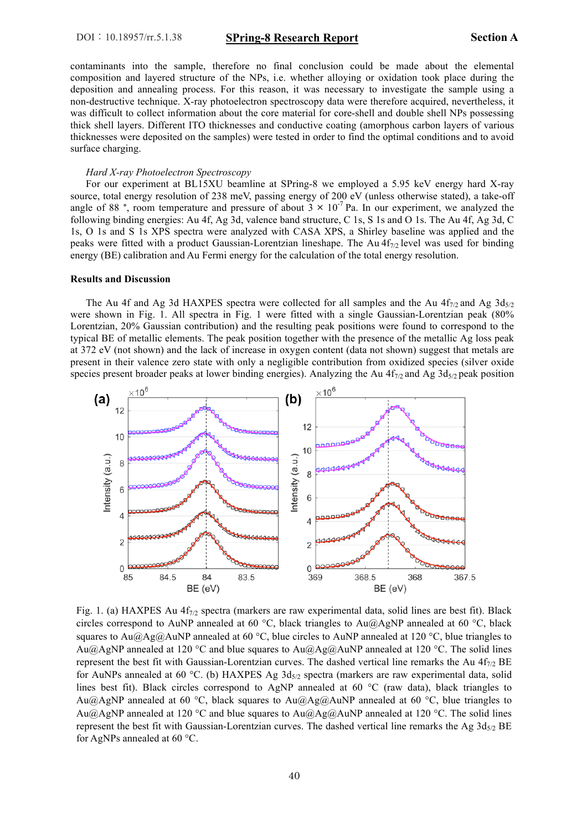contaminants into the sample, therefore no final conclusion could be made about the elemental composition and layered structure of the NPs, i.e. whether alloying or oxidation took place during the deposition and annealing process. For this reason, it was necessary to investigate the sample using a non-destructive technique. X-ray photoelectron spectroscopy data were therefore acquired, nevertheless, it was difficult to collect information about the core material for core-shell and double shell NPs possessing thick shell layers. Different ITO thicknesses and conductive coating (amorphous carbon layers of various thicknesses were deposited on the samples) were tested in order to find the optimal conditions and to avoid surface charging.

#### *Hard X-ray Photoelectron Spectroscopy*

 For our experiment at BL15XU beamline at SPring-8 we employed a 5.95 keV energy hard X-ray source, total energy resolution of 238 meV, passing energy of 200 eV (unless otherwise stated), a take-off angle of 88 °, room temperature and pressure of about  $3 \times 10^{-7}$  Pa. In our experiment, we analyzed the following binding energies: Au 4f, Ag 3d, valence band structure, C 1s, S 1s and O 1s. The Au 4f, Ag 3d, C 1s, O 1s and S 1s XPS spectra were analyzed with CASA XPS, a Shirley baseline was applied and the peaks were fitted with a product Gaussian-Lorentzian lineshape. The Au 4f<sub>7/2</sub> level was used for binding energy (BE) calibration and Au Fermi energy for the calculation of the total energy resolution.

#### **Results and Discussion**

The Au 4f and Ag 3d HAXPES spectra were collected for all samples and the Au  $4f_{7/2}$  and Ag  $3d_{5/2}$ were shown in Fig. 1. All spectra in Fig. 1 were fitted with a single Gaussian-Lorentzian peak (80% Lorentzian, 20% Gaussian contribution) and the resulting peak positions were found to correspond to the typical BE of metallic elements. The peak position together with the presence of the metallic Ag loss peak at 372 eV (not shown) and the lack of increase in oxygen content (data not shown) suggest that metals are present in their valence zero state with only a negligible contribution from oxidized species (silver oxide species present broader peaks at lower binding energies). Analyzing the Au  $4f_{7/2}$  and Ag  $3d_{5/2}$  peak position



Fig. 1. (a) HAXPES Au  $4f_{7/2}$  spectra (markers are raw experimental data, solid lines are best fit). Black circles correspond to AuNP annealed at 60 °C, black triangles to Au@AgNP annealed at 60 °C, black squares to Au $\omega$ Ag $\omega$ AuNP annealed at 60 °C, blue circles to AuNP annealed at 120 °C, blue triangles to Au@AgNP annealed at 120 °C and blue squares to Au@Ag@AuNP annealed at 120 °C. The solid lines represent the best fit with Gaussian-Lorentzian curves. The dashed vertical line remarks the Au  $4f_{7/2}$  BE for AuNPs annealed at 60 °C. (b) HAXPES Ag  $3d_{5/2}$  spectra (markers are raw experimental data, solid lines best fit). Black circles correspond to AgNP annealed at 60 °C (raw data), black triangles to Au@AgNP annealed at 60 °C, black squares to Au@Ag@AuNP annealed at 60 °C, blue triangles to Au@AgNP annealed at 120 °C and blue squares to Au@Ag@AuNP annealed at 120 °C. The solid lines represent the best fit with Gaussian-Lorentzian curves. The dashed vertical line remarks the Ag  $3d_{5/2}$  BE for AgNPs annealed at 60 °C.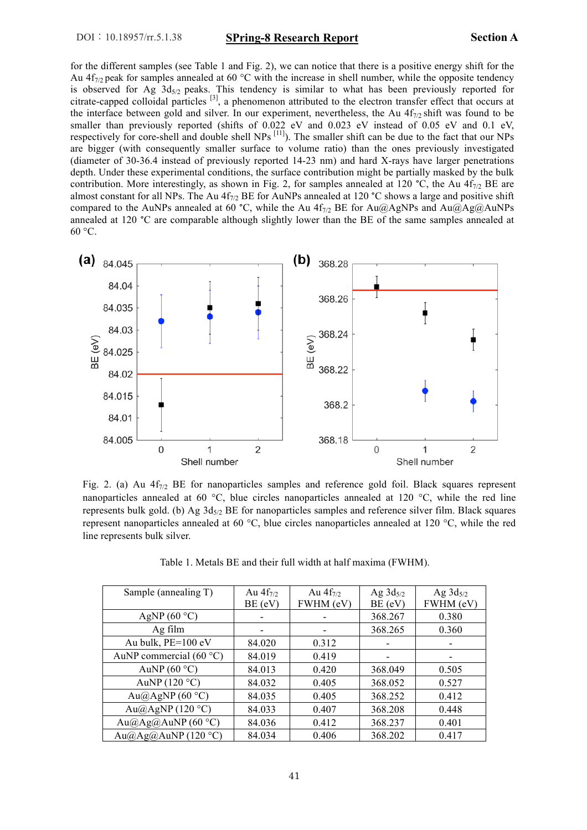for the different samples (see Table 1 and Fig. 2), we can notice that there is a positive energy shift for the Au  $4f_{7/2}$  peak for samples annealed at 60 °C with the increase in shell number, while the opposite tendency is observed for Ag  $3d_{5/2}$  peaks. This tendency is similar to what has been previously reported for citrate-capped colloidal particles [3], a phenomenon attributed to the electron transfer effect that occurs at the interface between gold and silver. In our experiment, nevertheless, the Au  $4f_{7/2}$  shift was found to be smaller than previously reported (shifts of 0.022 eV and 0.023 eV instead of 0.05 eV and 0.1 eV, respectively for core-shell and double shell NPs <sup>[11]</sup>). The smaller shift can be due to the fact that our NPs are bigger (with consequently smaller surface to volume ratio) than the ones previously investigated (diameter of 30-36.4 instead of previously reported 14-23 nm) and hard X-rays have larger penetrations depth. Under these experimental conditions, the surface contribution might be partially masked by the bulk contribution. More interestingly, as shown in Fig. 2, for samples annealed at 120 °C, the Au  $4f_{7/2}$  BE are almost constant for all NPs. The Au  $4f_{7/2}$  BE for AuNPs annealed at 120 °C shows a large and positive shift compared to the AuNPs annealed at 60 °C, while the Au 4f<sub>7/2</sub> BE for Au@AgNPs and Au@Ag@AuNPs annealed at 120 °C are comparable although slightly lower than the BE of the same samples annealed at  $60 °C$ .



Fig. 2. (a) Au  $4f_{7/2}$  BE for nanoparticles samples and reference gold foil. Black squares represent nanoparticles annealed at 60 °C, blue circles nanoparticles annealed at 120 °C, while the red line represents bulk gold. (b) Ag  $3d_{5/2}$  BE for nanoparticles samples and reference silver film. Black squares represent nanoparticles annealed at 60 °C, blue circles nanoparticles annealed at 120 °C, while the red line represents bulk silver.

| Sample (annealing T)              | Au $4f_{7/2}$ | Au $4f_{7/2}$            | Ag $3d_{5/2}$ | Ag $3d_{5/2}$ |
|-----------------------------------|---------------|--------------------------|---------------|---------------|
|                                   | BE (eV)       | FWHM (eV)                | BE (eV)       | FWHM (eV)     |
| AgNP $(60 °C)$                    |               | $\overline{\phantom{a}}$ | 368.267       | 0.380         |
| Ag film                           |               | $\overline{\phantom{a}}$ | 368.265       | 0.360         |
| Au bulk, PE=100 eV                | 84.020        | 0.312                    |               |               |
| AuNP commercial (60 $^{\circ}$ C) | 84.019        | 0.419                    |               |               |
| AuNP $(60 °C)$                    | 84.013        | 0.420                    | 368.049       | 0.505         |
| AuNP $(120 °C)$                   | 84.032        | 0.405                    | 368.052       | 0.527         |
| Au@AgNP $(60 °C)$                 | 84.035        | 0.405                    | 368.252       | 0.412         |
| Au@AgNP (120 °C)                  | 84.033        | 0.407                    | 368.208       | 0.448         |
| Au@Ag@AuNP (60 °C)                | 84.036        | 0.412                    | 368.237       | 0.401         |
| Au $@A$ g $@A$ uNP (120 °C)       | 84.034        | 0.406                    | 368.202       | 0.417         |

Table 1. Metals BE and their full width at half maxima (FWHM).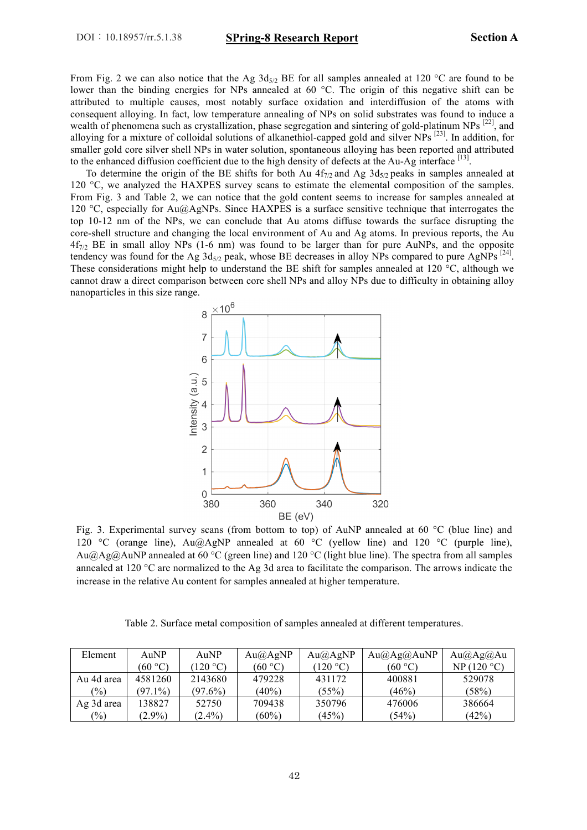From Fig. 2 we can also notice that the Ag  $3d_{5/2}$  BE for all samples annealed at 120 °C are found to be lower than the binding energies for NPs annealed at 60 °C. The origin of this negative shift can be attributed to multiple causes, most notably surface oxidation and interdiffusion of the atoms with consequent alloying. In fact, low temperature annealing of NPs on solid substrates was found to induce a wealth of phenomena such as crystallization, phase segregation and sintering of gold-platinum NPs [22], and alloying for a mixture of colloidal solutions of alkanethiol-capped gold and silver NPs [23]. In addition, for smaller gold core silver shell NPs in water solution, spontaneous alloying has been reported and attributed to the enhanced diffusion coefficient due to the high density of defects at the Au-Ag interface [13].

To determine the origin of the BE shifts for both Au  $4f_{7/2}$  and Ag  $3d_{5/2}$  peaks in samples annealed at 120 °C, we analyzed the HAXPES survey scans to estimate the elemental composition of the samples. From Fig. 3 and Table 2, we can notice that the gold content seems to increase for samples annealed at 120 °C, especially for  $Au(QAGNPS)$ . Since HAXPES is a surface sensitive technique that interrogates the top 10-12 nm of the NPs, we can conclude that Au atoms diffuse towards the surface disrupting the core-shell structure and changing the local environment of Au and Ag atoms. In previous reports, the Au  $4f_{7/2}$  BE in small alloy NPs (1-6 nm) was found to be larger than for pure AuNPs, and the opposite tendency was found for the Ag  $3d_{5/2}$  peak, whose BE decreases in alloy NPs compared to pure AgNPs  $^{[24]}$ . These considerations might help to understand the BE shift for samples annealed at 120 °C, although we cannot draw a direct comparison between core shell NPs and alloy NPs due to difficulty in obtaining alloy nanoparticles in this size range.



Fig. 3. Experimental survey scans (from bottom to top) of AuNP annealed at 60 °C (blue line) and 120 °C (orange line), Au@AgNP annealed at 60 °C (yellow line) and 120 °C (purple line), Au@Ag@AuNP annealed at 60 °C (green line) and 120 °C (light blue line). The spectra from all samples annealed at 120 °C are normalized to the Ag 3d area to facilitate the comparison. The arrows indicate the increase in the relative Au content for samples annealed at higher temperature.

Table 2. Surface metal composition of samples annealed at different temperatures.

| Element       | AuNP       | AuNP              | $Au(a)$ AgNP | $Au(a)$ AgNP                     | Au(a)Ag(a)AuNP | Au(a)Ag(a)Au |
|---------------|------------|-------------------|--------------|----------------------------------|----------------|--------------|
|               | (60 °C)    | $(120 \degree C)$ | (60 °C)      | $(120 \text{ }^{\circ}\text{C})$ | (60 °C)        | NP(120 °C)   |
| Au 4d area    | 4581260    | 2143680           | 479228       | 431172                           | 400881         | 529078       |
| $\frac{1}{2}$ | $(97.1\%)$ | $(97.6\%)$        | $(40\%)$     | (55%)                            | (46%)          | (58%)        |
| Ag 3d area    | 138827     | 52750             | 709438       | 350796                           | 476006         | 386664       |
| $\frac{9}{0}$ | $(2.9\%)$  | $(2.4\%)$         | $(60\%)$     | (45%)                            | (54%)          | (42%)        |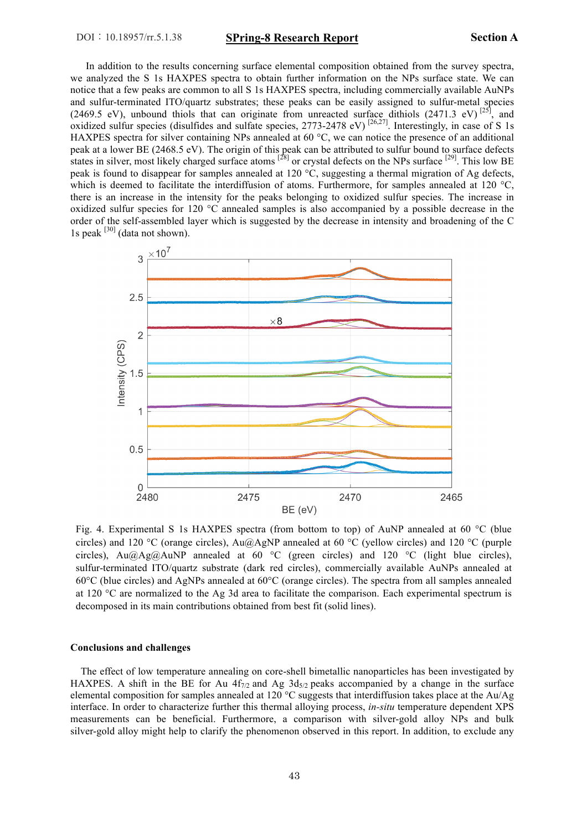In addition to the results concerning surface elemental composition obtained from the survey spectra, we analyzed the S 1s HAXPES spectra to obtain further information on the NPs surface state. We can notice that a few peaks are common to all S 1s HAXPES spectra, including commercially available AuNPs and sulfur-terminated ITO/quartz substrates; these peaks can be easily assigned to sulfur-metal species (2469.5 eV), unbound thiols that can originate from unreacted surface dithiols (2471.3 eV) <sup>[25]</sup>, and oxidized sulfur species (disulfides and sulfate species,  $2773-2478$  eV)  $^{[26,27]}$ . Interestingly, in case of S 1s HAXPES spectra for silver containing NPs annealed at 60 °C, we can notice the presence of an additional peak at a lower BE (2468.5 eV). The origin of this peak can be attributed to sulfur bound to surface defects states in silver, most likely charged surface atoms <sup>[28]</sup> or crystal defects on the NPs surface <sup>[29]</sup>. This low BE peak is found to disappear for samples annealed at 120 °C, suggesting a thermal migration of Ag defects, which is deemed to facilitate the interdiffusion of atoms. Furthermore, for samples annealed at 120 °C, there is an increase in the intensity for the peaks belonging to oxidized sulfur species. The increase in oxidized sulfur species for 120 °C annealed samples is also accompanied by a possible decrease in the order of the self-assembled layer which is suggested by the decrease in intensity and broadening of the C 1s peak  $[30]$  (data not shown).



Fig. 4. Experimental S 1s HAXPES spectra (from bottom to top) of AuNP annealed at 60 °C (blue circles) and 120 °C (orange circles), Au $@AgNP$  annealed at 60 °C (yellow circles) and 120 °C (purple circles), Au $@Ag@AuNP$  annealed at 60 °C (green circles) and 120 °C (light blue circles), sulfur-terminated ITO/quartz substrate (dark red circles), commercially available AuNPs annealed at 60°C (blue circles) and AgNPs annealed at 60°C (orange circles). The spectra from all samples annealed at 120 °C are normalized to the Ag 3d area to facilitate the comparison. Each experimental spectrum is decomposed in its main contributions obtained from best fit (solid lines).

#### **Conclusions and challenges**

 The effect of low temperature annealing on core-shell bimetallic nanoparticles has been investigated by HAXPES. A shift in the BE for Au  $4f_{7/2}$  and Ag  $3d_{5/2}$  peaks accompanied by a change in the surface elemental composition for samples annealed at 120 °C suggests that interdiffusion takes place at the Au/Ag interface. In order to characterize further this thermal alloying process, *in-situ* temperature dependent XPS measurements can be beneficial. Furthermore, a comparison with silver-gold alloy NPs and bulk silver-gold alloy might help to clarify the phenomenon observed in this report. In addition, to exclude any